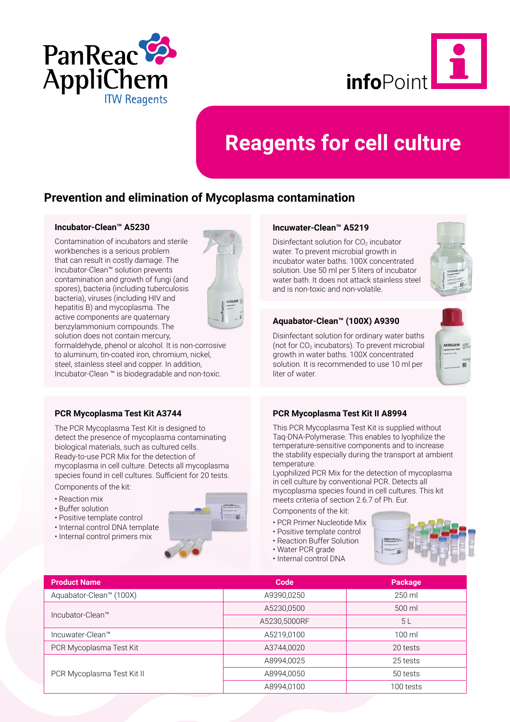



# **Reagents for cell culture**

### **Prevention and elimination of Mycoplasma contamination**

#### **[Incubator-Clean™ A5230](http://www.itwreagents.com/rest-of-world/en/product/incubator-clean/A5230)**

Contamination of incubators and sterile workbenches is a serious problem that can result in costly damage. The Incubator-Clean™ solution prevents contamination and growth of fungi (and spores), bacteria (including tuberculosis bacteria), viruses (including HIV and hepatitis B) and mycoplasma. The active components are quaternary benzylammonium compounds. The solution does not contain mercury,



formaldehyde, phenol or alcohol. It is non-corrosive to aluminum, tin-coated iron, chromium, nickel, steel, stainless steel and copper. In addition, Incubator-Clean ™ is biodegradable and non-toxic.

#### **[PCR Mycoplasma Test Kit A3744](http://www.itwreagents.com/rest-of-world/en/product/pcr-mycoplasma-test-kit/A3744)**

The PCR Mycoplasma Test Kit is designed to detect the presence of mycoplasma contaminating biological materials, such as cultured cells. Ready-to-use PCR Mix for the detection of mycoplasma in cell culture. Detects all mycoplasma species found in cell cultures. Sufficient for 20 tests.

Components of the kit:

- Reaction mix
- Buffer solution
- Positive template control
- Internal control DNA template
- Internal control primers mix



#### **[Incuwater-Clean™ A5219](http://www.itwreagents.com/rest-of-world/en/product/incuwater-clean/A5219)**

Disinfectant solution for  $CO<sub>2</sub>$  incubator water. To prevent microbial growth in incubator water baths. 100X concentrated solution. Use 50 ml per 5 liters of incubator water bath. It does not attack stainless steel and is non-toxic and non-volatile.



### **[Aquabator-Clean™ \(100X\) A9390](http://www.itwreagents.com/rest-of-world/en/product/aquabator-clean-100x/A9390)**

Disinfectant solution for ordinary water baths (not for  $CO<sub>2</sub>$  incubators). To prevent microbial growth in water baths. 100X concentrated solution. It is recommended to use 10 ml per liter of water.



#### **[PCR Mycoplasma Test Kit II A8994](http://www.itwreagents.com/rest-of-world/en/product/pcr-mycoplasma-test-kit-ii/A8994)**

This PCR Mycoplasma Test Kit is supplied without Taq-DNA-Polymerase. This enables to lyophilize the temperature-sensitive components and to increase the stability especially during the transport at ambient temperature.

Lyophilized PCR Mix for the detection of mycoplasma in cell culture by conventional PCR. Detects all mycoplasma species found in cell cultures. This kit meets criteria of section 2.6.7 of Ph. Eur.

Components of the kit:

- PCR Primer Nucleotide Mix
- Positive template control
- Reaction Buffer Solution
- Water PCR grade
- Internal control DNA



| <b>Product Name</b>        | Code         | <b>Package</b>   |
|----------------------------|--------------|------------------|
| Aquabator-Clean™ (100X)    | A9390,0250   | 250 ml           |
| Incubator-Clean™           | A5230,0500   | 500 ml           |
|                            | A5230,5000RF | 5L               |
| Incuwater-Clean™           | A5219,0100   | $100 \mathrm{m}$ |
| PCR Mycoplasma Test Kit    | A3744,0020   | 20 tests         |
|                            | A8994,0025   | 25 tests         |
| PCR Mycoplasma Test Kit II | A8994,0050   | 50 tests         |
|                            | A8994,0100   | 100 tests        |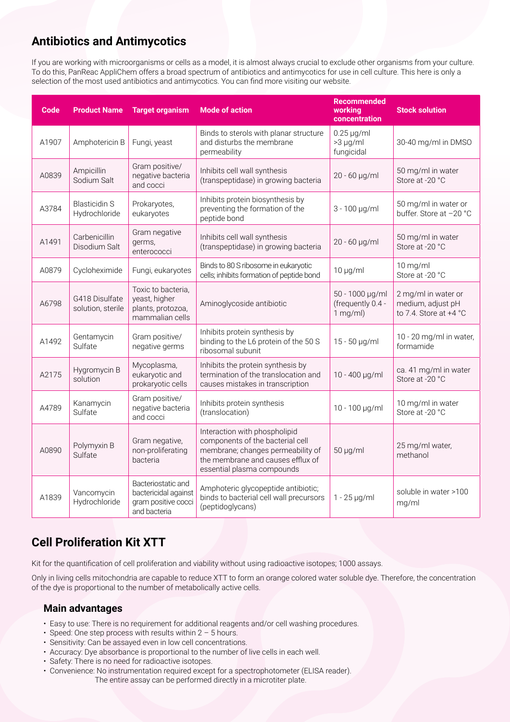## **Antibiotics and Antimycotics**

If you are working with microorganisms or cells as a model, it is almost always crucial to exclude other organisms from your culture. To do this, PanReac AppliChem offers a broad spectrum of antibiotics and antimycotics for use in cell culture. This here is only a selection of the most used antibiotics and antimycotics. You can find more visiting our website.

| Code  | <b>Product Name</b>                   | <b>Target organism</b>                                                            | <b>Mode of action</b>                                                                                                                                                     | <b>Recommended</b><br>working<br>concentration     | <b>Stock solution</b>                                              |
|-------|---------------------------------------|-----------------------------------------------------------------------------------|---------------------------------------------------------------------------------------------------------------------------------------------------------------------------|----------------------------------------------------|--------------------------------------------------------------------|
| A1907 | Amphotericin B                        | Fungi, yeast                                                                      | Binds to sterols with planar structure<br>and disturbs the membrane<br>permeability                                                                                       | $0.25 \mu g/ml$<br>>3 µg/ml<br>fungicidal          | 30-40 mg/ml in DMSO                                                |
| A0839 | Ampicillin<br>Sodium Salt             | Gram positive/<br>negative bacteria<br>and cocci                                  | Inhibits cell wall synthesis<br>(transpeptidase) in growing bacteria                                                                                                      | 20 - 60 µg/ml                                      | 50 mg/ml in water<br>Store at -20 °C                               |
| A3784 | <b>Blasticidin S</b><br>Hydrochloride | Prokaryotes,<br>eukaryotes                                                        | Inhibits protein biosynthesis by<br>preventing the formation of the<br>peptide bond                                                                                       | 3 - 100 µg/ml                                      | 50 mg/ml in water or<br>buffer. Store at -20 °C                    |
| A1491 | Carbenicillin<br>Disodium Salt        | Gram negative<br>germs,<br>enterococci                                            | Inhibits cell wall synthesis<br>(transpeptidase) in growing bacteria                                                                                                      | 20 - 60 µg/ml                                      | 50 mg/ml in water<br>Store at -20 °C                               |
| A0879 | Cycloheximide                         | Fungi, eukaryotes                                                                 | Binds to 80 S ribosome in eukaryotic<br>cells; inhibits formation of peptide bond                                                                                         | $10 \mu g/ml$                                      | 10 mg/ml<br>Store at -20 °C                                        |
| A6798 | G418 Disulfate<br>solution, sterile   | Toxic to bacteria,<br>yeast, higher<br>plants, protozoa,<br>mammalian cells       | Aminoglycoside antibiotic                                                                                                                                                 | 50 - 1000 µg/ml<br>(frequently 0.4 -<br>$1$ mg/ml) | 2 mg/ml in water or<br>medium, adjust pH<br>to 7.4. Store at +4 °C |
| A1492 | Gentamycin<br>Sulfate                 | Gram positive/<br>negative germs                                                  | Inhibits protein synthesis by<br>binding to the L6 protein of the 50 S<br>ribosomal subunit                                                                               | 15 - 50 µg/ml                                      | 10 - 20 mg/ml in water,<br>formamide                               |
| A2175 | Hygromycin B<br>solution              | Mycoplasma,<br>eukaryotic and<br>prokaryotic cells                                | Inhibits the protein synthesis by<br>termination of the translocation and<br>causes mistakes in transcription                                                             | 10 - 400 µg/ml                                     | ca. 41 mg/ml in water<br>Store at -20 °C                           |
| A4789 | Kanamycin<br>Sulfate                  | Gram positive/<br>negative bacteria<br>and cocci                                  | Inhibits protein synthesis<br>(translocation)                                                                                                                             | 10 - 100 µg/ml                                     | 10 mg/ml in water<br>Store at -20 °C                               |
| A0890 | Polymyxin B<br>Sulfate                | Gram negative,<br>non-proliferating<br>bacteria                                   | Interaction with phospholipid<br>components of the bacterial cell<br>membrane; changes permeability of<br>the membrane and causes efflux of<br>essential plasma compounds | $50 \mu g/ml$                                      | 25 mg/ml water,<br>methanol                                        |
| A1839 | Vancomycin<br>Hydrochloride           | Bacteriostatic and<br>bactericidal against<br>gram positive cocci<br>and bacteria | Amphoteric glycopeptide antibiotic;<br>binds to bacterial cell wall precursors<br>(peptidoglycans)                                                                        | $1 - 25$ µg/ml                                     | soluble in water >100<br>mg/ml                                     |

### **Cell Proliferation Kit XTT**

Kit for the quantification of cell proliferation and viability without using radioactive isotopes; 1000 assays.

Only in living cells mitochondria are capable to reduce XTT to form an orange colored water soluble dye. Therefore, the concentration of the dye is proportional to the number of metabolically active cells.

### **Main advantages**

- Easy to use: There is no requirement for additional reagents and/or cell washing procedures.
- Speed: One step process with results within 2 5 hours.
- Sensitivity: Can be assayed even in low cell concentrations.
- Accuracy: Dye absorbance is proportional to the number of live cells in each well.
- Safety: There is no need for radioactive isotopes.
- Convenience: No instrumentation required except for a spectrophotometer (ELISA reader). The entire assay can be performed directly in a microtiter plate.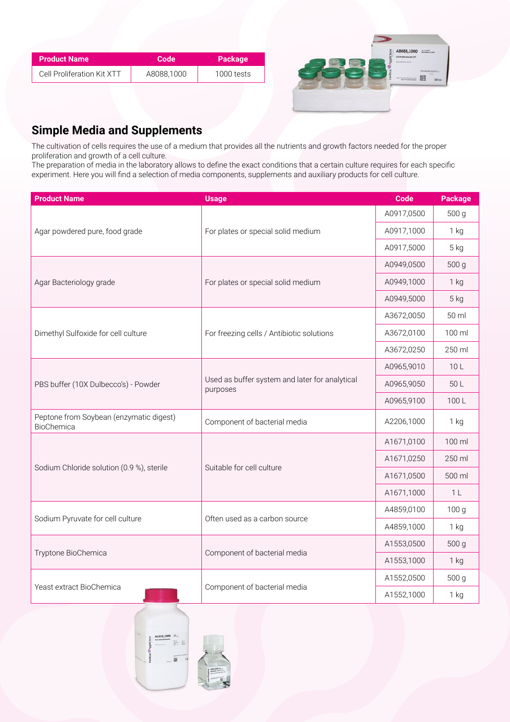| Product Name               | Code       | <b>Package</b> |
|----------------------------|------------|----------------|
| Cell Proliferation Kit XTT | A8088.1000 | 1000 tests     |



### **Simple Media and Supplements**

The cultivation of cells requires the use of a medium that provides all the nutrients and growth factors needed for the proper proliferation and growth of a cell culture.

The preparation of media in the laboratory allows to define the exact conditions that a certain culture requires for each specific experiment. Here you will find a selection of media components, supplements and auxiliary products for cell culture.

| <b>Product Name</b>                                   | <b>Usage</b>                                               | Code       | <b>Package</b>   |
|-------------------------------------------------------|------------------------------------------------------------|------------|------------------|
|                                                       |                                                            |            | 500 g            |
| Agar powdered pure, food grade                        | For plates or special solid medium                         | A0917,1000 | $1$ kg           |
|                                                       |                                                            | A0917,5000 | 5 kg             |
|                                                       |                                                            | A0949,0500 | 500 g            |
| Agar Bacteriology grade                               | For plates or special solid medium                         | A0949,1000 | $1$ kg           |
|                                                       |                                                            | A0949,5000 | 5 kg             |
|                                                       |                                                            | A3672,0050 | 50 ml            |
| Dimethyl Sulfoxide for cell culture                   | For freezing cells / Antibiotic solutions                  | A3672,0100 | 100 ml           |
|                                                       |                                                            | A3672,0250 | 250 ml           |
|                                                       | Used as buffer system and later for analytical<br>purposes | A0965,9010 | 10L              |
| PBS buffer (10X Dulbecco's) - Powder                  |                                                            | A0965,9050 | 50 L             |
|                                                       |                                                            | A0965,9100 | 100L             |
| Peptone from Soybean (enzymatic digest)<br>BioChemica | Component of bacterial media                               | A2206,1000 | $1$ kg           |
|                                                       |                                                            | A1671,0100 | 100 ml           |
|                                                       |                                                            | A1671,0250 | 250 ml           |
| Sodium Chloride solution (0.9 %), sterile             | Suitable for cell culture                                  | A1671,0500 | 500 ml           |
|                                                       |                                                            | A1671,1000 | 1 <sub>L</sub>   |
|                                                       |                                                            | A4859,0100 | 100 <sub>g</sub> |
| Sodium Pyruvate for cell culture                      | Often used as a carbon source                              | A4859,1000 | $1$ kg           |
|                                                       |                                                            | A1553,0500 | 500 g            |
| Tryptone BioChemica                                   | Component of bacterial media                               | A1553,1000 | $1$ kg           |
|                                                       |                                                            | A1552,0500 | 500 g            |
| Yeast extract BioChemica                              | Component of bacterial media                               | A1552,1000 | $1$ kg           |